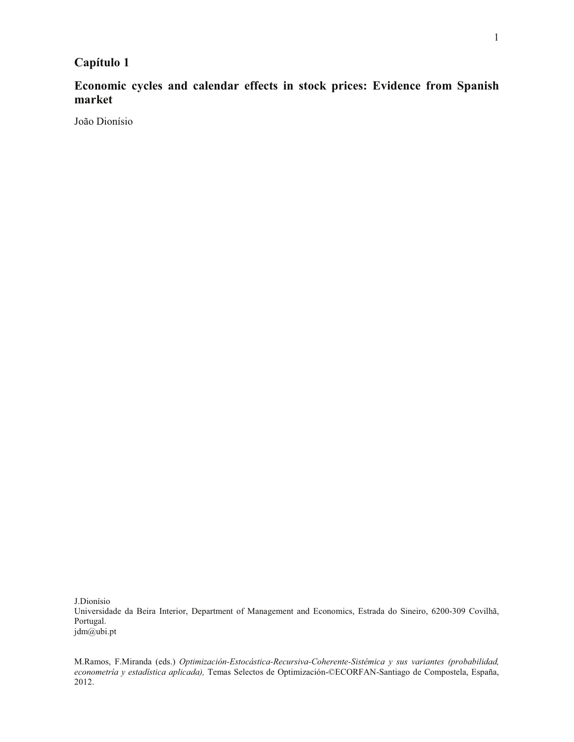# **Capítulo 1**

**Economic cycles and calendar effects in stock prices: Evidence from Spanish market**

João Dionísio

J.Dionísio Universidade da Beira Interior, Department of Management and Economics, Estrada do Sineiro, 6200-309 Covilhã, Portugal. jdm@ubi.pt

M.Ramos, F.Miranda (eds.) *Optimización-Estocástica-Recursiva-Coherente-Sistémica y sus variantes (probabilidad, econometría y estadística aplicada),* Temas Selectos de Optimización-©ECORFAN-Santiago de Compostela, España, 2012.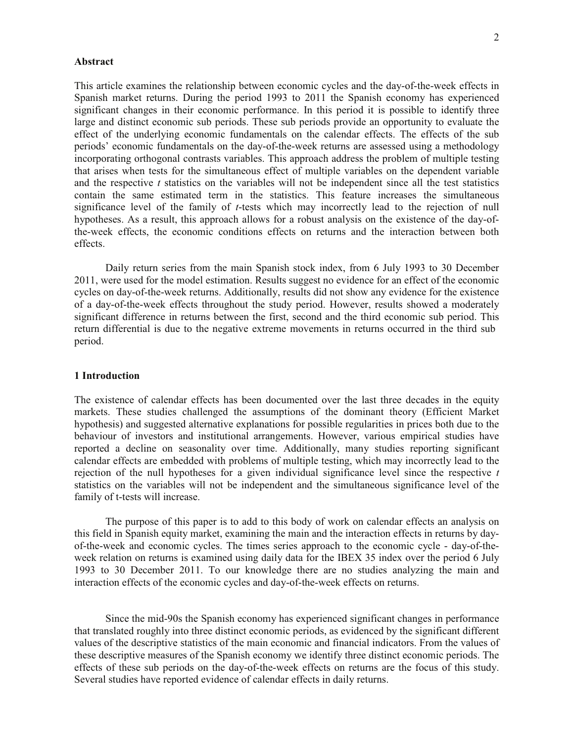#### **Abstract**

This article examines the relationship between economic cycles and the day-of-the-week effects in Spanish market returns. During the period 1993 to 2011 the Spanish economy has experienced significant changes in their economic performance. In this period it is possible to identify three large and distinct economic sub periods. These sub periods provide an opportunity to evaluate the effect of the underlying economic fundamentals on the calendar effects. The effects of the sub periods' economic fundamentals on the day-of-the-week returns are assessed using a methodology incorporating orthogonal contrasts variables. This approach address the problem of multiple testing that arises when tests for the simultaneous effect of multiple variables on the dependent variable and the respective *t* statistics on the variables will not be independent since all the test statistics contain the same estimated term in the statistics. This feature increases the simultaneous significance level of the family of *t*-tests which may incorrectly lead to the rejection of null hypotheses. As a result, this approach allows for a robust analysis on the existence of the day-ofthe-week effects, the economic conditions effects on returns and the interaction between both effects.

Daily return series from the main Spanish stock index, from 6 July 1993 to 30 December 2011, were used for the model estimation. Results suggest no evidence for an effect of the economic cycles on day-of-the-week returns. Additionally, results did not show any evidence for the existence of a day-of-the-week effects throughout the study period. However, results showed a moderately significant difference in returns between the first, second and the third economic sub period. This return differential is due to the negative extreme movements in returns occurred in the third sub period.

# **1 Introduction**

The existence of calendar effects has been documented over the last three decades in the equity markets. These studies challenged the assumptions of the dominant theory (Efficient Market hypothesis) and suggested alternative explanations for possible regularities in prices both due to the behaviour of investors and institutional arrangements. However, various empirical studies have reported a decline on seasonality over time. Additionally, many studies reporting significant calendar effects are embedded with problems of multiple testing, which may incorrectly lead to the rejection of the null hypotheses for a given individual significance level since the respective *t* statistics on the variables will not be independent and the simultaneous significance level of the family of t-tests will increase.

The purpose of this paper is to add to this body of work on calendar effects an analysis on this field in Spanish equity market, examining the main and the interaction effects in returns by dayof-the-week and economic cycles. The times series approach to the economic cycle - day-of-theweek relation on returns is examined using daily data for the IBEX 35 index over the period 6 July 1993 to 30 December 2011. To our knowledge there are no studies analyzing the main and interaction effects of the economic cycles and day-of-the-week effects on returns.

Since the mid-90s the Spanish economy has experienced significant changes in performance that translated roughly into three distinct economic periods, as evidenced by the significant different values of the descriptive statistics of the main economic and financial indicators. From the values of these descriptive measures of the Spanish economy we identify three distinct economic periods. The effects of these sub periods on the day-of-the-week effects on returns are the focus of this study. Several studies have reported evidence of calendar effects in daily returns.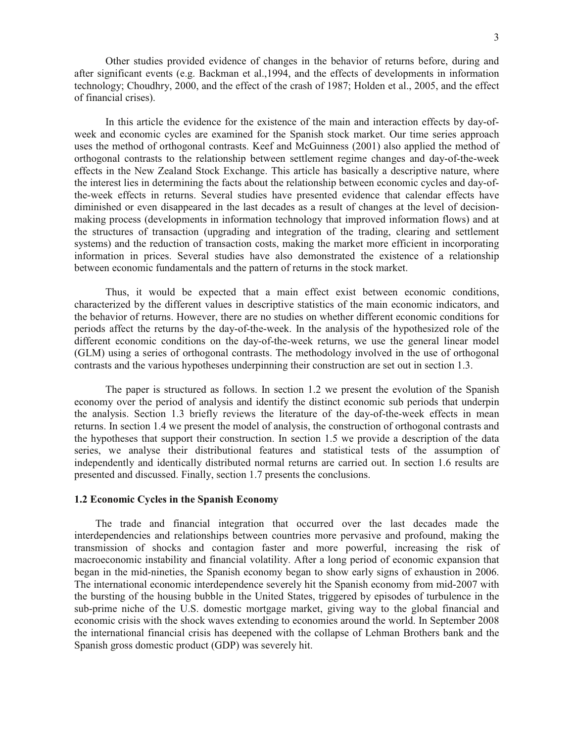Other studies provided evidence of changes in the behavior of returns before, during and after significant events (e.g. Backman et al.,1994, and the effects of developments in information technology; Choudhry, 2000, and the effect of the crash of 1987; Holden et al., 2005, and the effect of financial crises).

In this article the evidence for the existence of the main and interaction effects by day-ofweek and economic cycles are examined for the Spanish stock market. Our time series approach uses the method of orthogonal contrasts. Keef and McGuinness (2001) also applied the method of orthogonal contrasts to the relationship between settlement regime changes and day-of-the-week effects in the New Zealand Stock Exchange. This article has basically a descriptive nature, where the interest lies in determining the facts about the relationship between economic cycles and day-ofthe-week effects in returns. Several studies have presented evidence that calendar effects have diminished or even disappeared in the last decades as a result of changes at the level of decisionmaking process (developments in information technology that improved information flows) and at the structures of transaction (upgrading and integration of the trading, clearing and settlement systems) and the reduction of transaction costs, making the market more efficient in incorporating information in prices. Several studies have also demonstrated the existence of a relationship between economic fundamentals and the pattern of returns in the stock market.

Thus, it would be expected that a main effect exist between economic conditions, characterized by the different values in descriptive statistics of the main economic indicators, and the behavior of returns. However, there are no studies on whether different economic conditions for periods affect the returns by the day-of-the-week. In the analysis of the hypothesized role of the different economic conditions on the day-of-the-week returns, we use the general linear model (GLM) using a series of orthogonal contrasts. The methodology involved in the use of orthogonal contrasts and the various hypotheses underpinning their construction are set out in section 1.3.

The paper is structured as follows. In section 1.2 we present the evolution of the Spanish economy over the period of analysis and identify the distinct economic sub periods that underpin the analysis. Section 1.3 briefly reviews the literature of the day-of-the-week effects in mean returns. In section 1.4 we present the model of analysis, the construction of orthogonal contrasts and the hypotheses that support their construction. In section 1.5 we provide a description of the data series, we analyse their distributional features and statistical tests of the assumption of independently and identically distributed normal returns are carried out. In section 1.6 results are presented and discussed. Finally, section 1.7 presents the conclusions.

#### **1.2 Economic Cycles in the Spanish Economy**

The trade and financial integration that occurred over the last decades made the interdependencies and relationships between countries more pervasive and profound, making the transmission of shocks and contagion faster and more powerful, increasing the risk of macroeconomic instability and financial volatility. After a long period of economic expansion that began in the mid-nineties, the Spanish economy began to show early signs of exhaustion in 2006. The international economic interdependence severely hit the Spanish economy from mid-2007 with the bursting of the housing bubble in the United States, triggered by episodes of turbulence in the sub-prime niche of the U.S. domestic mortgage market, giving way to the global financial and economic crisis with the shock waves extending to economies around the world. In September 2008 the international financial crisis has deepened with the collapse of Lehman Brothers bank and the Spanish gross domestic product (GDP) was severely hit.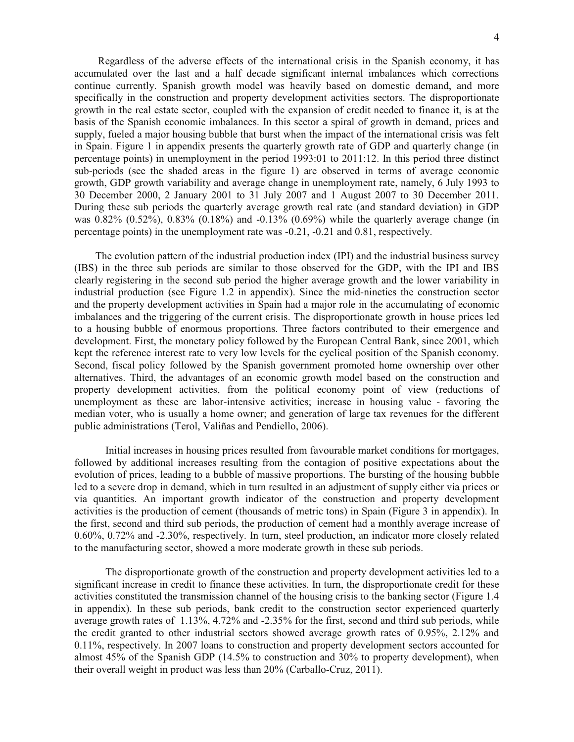Regardless of the adverse effects of the international crisis in the Spanish economy, it has accumulated over the last and a half decade significant internal imbalances which corrections continue currently. Spanish growth model was heavily based on domestic demand, and more specifically in the construction and property development activities sectors. The disproportionate growth in the real estate sector, coupled with the expansion of credit needed to finance it, is at the basis of the Spanish economic imbalances. In this sector a spiral of growth in demand, prices and supply, fueled a major housing bubble that burst when the impact of the international crisis was felt in Spain. Figure 1 in appendix presents the quarterly growth rate of GDP and quarterly change (in percentage points) in unemployment in the period 1993:01 to 2011:12. In this period three distinct sub-periods (see the shaded areas in the figure 1) are observed in terms of average economic growth, GDP growth variability and average change in unemployment rate, namely, 6 July 1993 to 30 December 2000, 2 January 2001 to 31 July 2007 and 1 August 2007 to 30 December 2011. During these sub periods the quarterly average growth real rate (and standard deviation) in GDP was 0.82% (0.52%), 0.83% (0.18%) and -0.13% (0.69%) while the quarterly average change (in percentage points) in the unemployment rate was -0.21, -0.21 and 0.81, respectively.

The evolution pattern of the industrial production index (IPI) and the industrial business survey (IBS) in the three sub periods are similar to those observed for the GDP, with the IPI and IBS clearly registering in the second sub period the higher average growth and the lower variability in industrial production (see Figure 1.2 in appendix). Since the mid-nineties the construction sector and the property development activities in Spain had a major role in the accumulating of economic imbalances and the triggering of the current crisis. The disproportionate growth in house prices led to a housing bubble of enormous proportions. Three factors contributed to their emergence and development. First, the monetary policy followed by the European Central Bank, since 2001, which kept the reference interest rate to very low levels for the cyclical position of the Spanish economy. Second, fiscal policy followed by the Spanish government promoted home ownership over other alternatives. Third, the advantages of an economic growth model based on the construction and property development activities, from the political economy point of view (reductions of unemployment as these are labor-intensive activities; increase in housing value - favoring the median voter, who is usually a home owner; and generation of large tax revenues for the different public administrations (Terol, Valiñas and Pendiello, 2006).

Initial increases in housing prices resulted from favourable market conditions for mortgages, followed by additional increases resulting from the contagion of positive expectations about the evolution of prices, leading to a bubble of massive proportions. The bursting of the housing bubble led to a severe drop in demand, which in turn resulted in an adjustment of supply either via prices or via quantities. An important growth indicator of the construction and property development activities is the production of cement (thousands of metric tons) in Spain (Figure 3 in appendix). In the first, second and third sub periods, the production of cement had a monthly average increase of 0.60%, 0.72% and -2.30%, respectively. In turn, steel production, an indicator more closely related to the manufacturing sector, showed a more moderate growth in these sub periods.

The disproportionate growth of the construction and property development activities led to a significant increase in credit to finance these activities. In turn, the disproportionate credit for these activities constituted the transmission channel of the housing crisis to the banking sector (Figure 1.4 in appendix). In these sub periods, bank credit to the construction sector experienced quarterly average growth rates of 1.13%, 4.72% and -2.35% for the first, second and third sub periods, while the credit granted to other industrial sectors showed average growth rates of 0.95%, 2.12% and 0.11%, respectively. In 2007 loans to construction and property development sectors accounted for almost 45% of the Spanish GDP (14.5% to construction and 30% to property development), when their overall weight in product was less than 20% (Carballo-Cruz, 2011).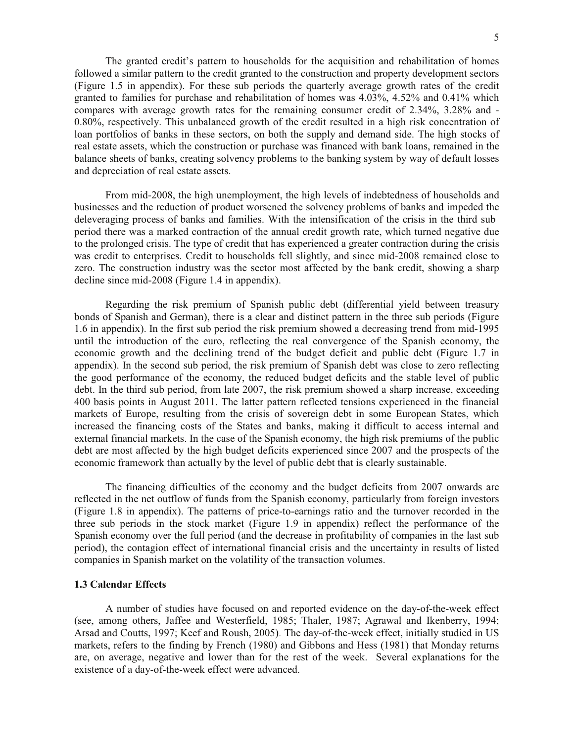The granted credit's pattern to households for the acquisition and rehabilitation of homes followed a similar pattern to the credit granted to the construction and property development sectors (Figure 1.5 in appendix). For these sub periods the quarterly average growth rates of the credit granted to families for purchase and rehabilitation of homes was 4.03%, 4.52% and 0.41% which compares with average growth rates for the remaining consumer credit of 2.34%, 3.28% and - 0.80%, respectively. This unbalanced growth of the credit resulted in a high risk concentration of loan portfolios of banks in these sectors, on both the supply and demand side. The high stocks of real estate assets, which the construction or purchase was financed with bank loans, remained in the balance sheets of banks, creating solvency problems to the banking system by way of default losses and depreciation of real estate assets.

From mid-2008, the high unemployment, the high levels of indebtedness of households and businesses and the reduction of product worsened the solvency problems of banks and impeded the deleveraging process of banks and families. With the intensification of the crisis in the third sub period there was a marked contraction of the annual credit growth rate, which turned negative due to the prolonged crisis. The type of credit that has experienced a greater contraction during the crisis was credit to enterprises. Credit to households fell slightly, and since mid-2008 remained close to zero. The construction industry was the sector most affected by the bank credit, showing a sharp decline since mid-2008 (Figure 1.4 in appendix).

Regarding the risk premium of Spanish public debt (differential yield between treasury bonds of Spanish and German), there is a clear and distinct pattern in the three sub periods (Figure 1.6 in appendix). In the first sub period the risk premium showed a decreasing trend from mid-1995 until the introduction of the euro, reflecting the real convergence of the Spanish economy, the economic growth and the declining trend of the budget deficit and public debt (Figure 1.7 in appendix). In the second sub period, the risk premium of Spanish debt was close to zero reflecting the good performance of the economy, the reduced budget deficits and the stable level of public debt. In the third sub period, from late 2007, the risk premium showed a sharp increase, exceeding 400 basis points in August 2011. The latter pattern reflected tensions experienced in the financial markets of Europe, resulting from the crisis of sovereign debt in some European States, which increased the financing costs of the States and banks, making it difficult to access internal and external financial markets. In the case of the Spanish economy, the high risk premiums of the public debt are most affected by the high budget deficits experienced since 2007 and the prospects of the economic framework than actually by the level of public debt that is clearly sustainable.

The financing difficulties of the economy and the budget deficits from 2007 onwards are reflected in the net outflow of funds from the Spanish economy, particularly from foreign investors (Figure 1.8 in appendix). The patterns of price-to-earnings ratio and the turnover recorded in the three sub periods in the stock market (Figure 1.9 in appendix) reflect the performance of the Spanish economy over the full period (and the decrease in profitability of companies in the last sub period), the contagion effect of international financial crisis and the uncertainty in results of listed companies in Spanish market on the volatility of the transaction volumes.

#### **1.3 Calendar Effects**

A number of studies have focused on and reported evidence on the day-of-the-week effect (see, among others, Jaffee and Westerfield, 1985; Thaler, 1987; Agrawal and Ikenberry, 1994; Arsad and Coutts, 1997; Keef and Roush, 2005). The day-of-the-week effect, initially studied in US markets, refers to the finding by French (1980) and Gibbons and Hess (1981) that Monday returns are, on average, negative and lower than for the rest of the week. Several explanations for the existence of a day-of-the-week effect were advanced.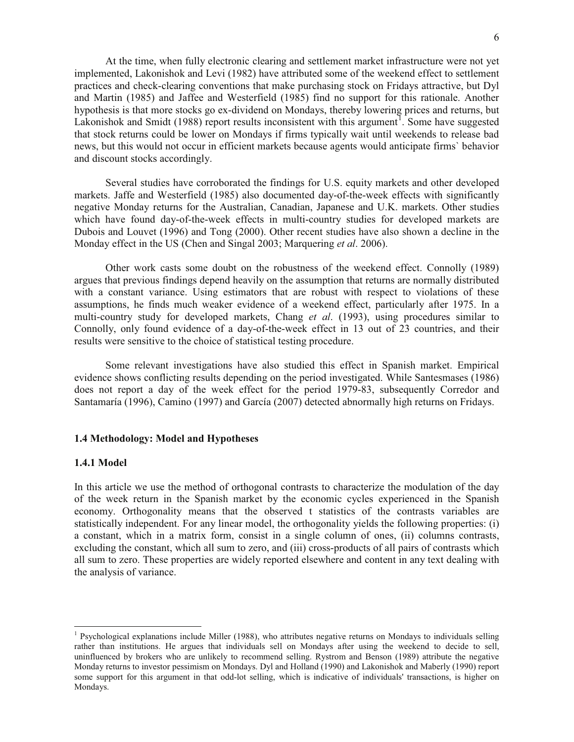At the time, when fully electronic clearing and settlement market infrastructure were not yet implemented, Lakonishok and Levi (1982) have attributed some of the weekend effect to settlement practices and check-clearing conventions that make purchasing stock on Fridays attractive, but Dyl and Martin (1985) and Jaffee and Westerfield (1985) find no support for this rationale. Another hypothesis is that more stocks go ex-dividend on Mondays, thereby lowering prices and returns, but Lakonishok and Smidt (1988) report results inconsistent with this argument<sup>1</sup>. Some have suggested that stock returns could be lower on Mondays if firms typically wait until weekends to release bad news, but this would not occur in efficient markets because agents would anticipate firms` behavior and discount stocks accordingly.

Several studies have corroborated the findings for U.S. equity markets and other developed markets. Jaffe and Westerfield (1985) also documented day-of-the-week effects with significantly negative Monday returns for the Australian, Canadian, Japanese and U.K. markets. Other studies which have found day-of-the-week effects in multi-country studies for developed markets are Dubois and Louvet (1996) and Tong (2000). Other recent studies have also shown a decline in the Monday effect in the US (Chen and Singal 2003; Marquering *et al*. 2006).

Other work casts some doubt on the robustness of the weekend effect. Connolly (1989) argues that previous findings depend heavily on the assumption that returns are normally distributed with a constant variance. Using estimators that are robust with respect to violations of these assumptions, he finds much weaker evidence of a weekend effect, particularly after 1975. In a multi-country study for developed markets, Chang *et al*. (1993), using procedures similar to Connolly, only found evidence of a day-of-the-week effect in 13 out of 23 countries, and their results were sensitive to the choice of statistical testing procedure.

Some relevant investigations have also studied this effect in Spanish market. Empirical evidence shows conflicting results depending on the period investigated. While Santesmases (1986) does not report a day of the week effect for the period 1979-83, subsequently Corredor and Santamaría (1996), Camino (1997) and García (2007) detected abnormally high returns on Fridays.

### **1.4 Methodology: Model and Hypotheses**

#### **1.4.1 Model**

l

In this article we use the method of orthogonal contrasts to characterize the modulation of the day of the week return in the Spanish market by the economic cycles experienced in the Spanish economy. Orthogonality means that the observed t statistics of the contrasts variables are statistically independent. For any linear model, the orthogonality yields the following properties: (i) a constant, which in a matrix form, consist in a single column of ones, (ii) columns contrasts, excluding the constant, which all sum to zero, and (iii) cross-products of all pairs of contrasts which all sum to zero. These properties are widely reported elsewhere and content in any text dealing with the analysis of variance.

<sup>&</sup>lt;sup>1</sup> Psychological explanations include Miller (1988), who attributes negative returns on Mondays to individuals selling rather than institutions. He argues that individuals sell on Mondays after using the weekend to decide to sell, uninfluenced by brokers who are unlikely to recommend selling. Rystrom and Benson (1989) attribute the negative Monday returns to investor pessimism on Mondays. Dyl and Holland (1990) and Lakonishok and Maberly (1990) report some support for this argument in that odd-lot selling, which is indicative of individuals' transactions, is higher on Mondays.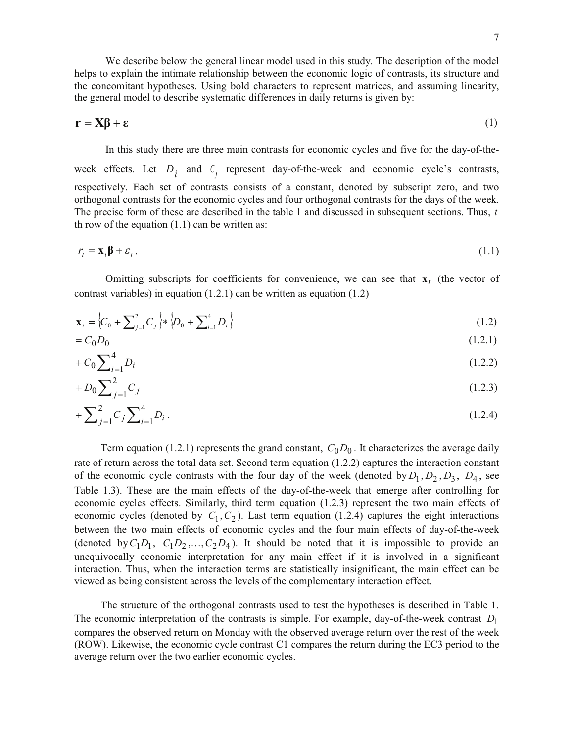the concomitant hypotheses. Using bold characters to represent matrices, and assuming linearity, the general model to describe systematic differences in daily returns is given by:

$$
\mathbf{r} = \mathbf{X}\boldsymbol{\beta} + \boldsymbol{\epsilon} \tag{1}
$$

In this study there are three main contrasts for economic cycles and five for the day-of-theweek effects. Let  $D_i$  and  $C_j$  represent day-of-the-week and economic cycle's contrasts, respectively. Each set of contrasts consists of a constant, denoted by subscript zero, and two orthogonal contrasts for the economic cycles and four orthogonal contrasts for the days of the week. The precise form of these are described in the table 1 and discussed in subsequent sections. Thus, *t* th row of the equation  $(1.1)$  can be written as:

$$
r_t = \mathbf{x}_t \mathbf{\beta} + \varepsilon_t. \tag{1.1}
$$

Omitting subscripts for coefficients for convenience, we can see that  $\mathbf{x}_t$  (the vector of contrast variables) in equation (1.2.1) can be written as equation (1.2)

$$
\mathbf{x}_{t} = \left\{ C_{0} + \sum_{j=1}^{2} C_{j} \right\} \ast \left\{ D_{0} + \sum_{i=1}^{4} D_{i} \right\}
$$
\n(1.2)

$$
=C_0D_0\tag{1.2.1}
$$

$$
+ C_0 \sum_{i=1}^{4} D_i \tag{1.2.2}
$$

$$
+D_0 \sum_{j=1}^{2} C_j \tag{1.2.3}
$$

$$
+\sum_{j=1}^{2}C_{j}\sum_{i=1}^{4}D_{i}.
$$
\n(1.2.4)

Term equation (1.2.1) represents the grand constant,  $C_0D_0$ . It characterizes the average daily rate of return across the total data set. Second term equation (1.2.2) captures the interaction constant of the economic cycle contrasts with the four day of the week (denoted by  $D_1, D_2, D_3, D_4$ , see Table 1.3). These are the main effects of the day-of-the-week that emerge after controlling for economic cycles effects. Similarly, third term equation (1.2.3) represent the two main effects of economic cycles (denoted by  $C_1$ ,  $C_2$ ). Last term equation (1.2.4) captures the eight interactions between the two main effects of economic cycles and the four main effects of day-of-the-week (denoted by  $C_1D_1$ ,  $C_1D_2$ ,..., $C_2D_4$ ). It should be noted that it is impossible to provide an unequivocally economic interpretation for any main effect if it is involved in a significant interaction. Thus, when the interaction terms are statistically insignificant, the main effect can be viewed as being consistent across the levels of the complementary interaction effect.

The structure of the orthogonal contrasts used to test the hypotheses is described in Table 1. The economic interpretation of the contrasts is simple. For example, day-of-the-week contrast  $D_1$ compares the observed return on Monday with the observed average return over the rest of the week (ROW). Likewise, the economic cycle contrast C1 compares the return during the EC3 period to the average return over the two earlier economic cycles.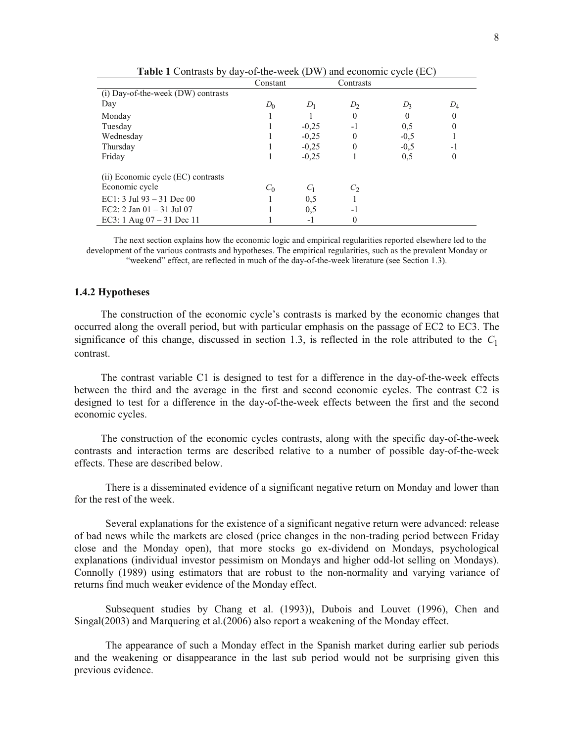|                                    | Constant |         | Contrasts      |          |                  |
|------------------------------------|----------|---------|----------------|----------|------------------|
| (i) Day-of-the-week (DW) contrasts |          |         |                |          |                  |
| Day                                | $D_0$    | $D_1$   | D <sub>2</sub> | $D_3$    | $D_4$            |
| Monday                             |          |         | 0              | $\theta$ | $\bf{0}$         |
| Tuesday                            |          | $-0.25$ | $-1$           | 0,5      | $\mathbf{0}$     |
| Wednesday                          |          | $-0.25$ | 0              | $-0.5$   |                  |
| Thursday                           |          | $-0.25$ | $\theta$       | $-0.5$   | $-1$             |
| Friday                             |          | $-0.25$ |                | 0,5      | $\boldsymbol{0}$ |
| (ii) Economic cycle (EC) contrasts |          |         |                |          |                  |
| Economic cycle                     | $C_0$    | $C_1$   | $C_2$          |          |                  |
| EC1: $3$ Jul 93 – $31$ Dec 00      |          | 0,5     |                |          |                  |
| EC2: 2 Jan $01 - 31$ Jul 07        |          | 0,5     | -1             |          |                  |
| EC3: 1 Aug $07 - 31$ Dec 11        |          | $-1$    | 0              |          |                  |

**Table 1** Contrasts by day-of-the-week (DW) and economic cycle (EC)

The next section explains how the economic logic and empirical regularities reported elsewhere led to the development of the various contrasts and hypotheses. The empirical regularities, such as the prevalent Monday or "weekend" effect, are reflected in much of the day-of-the-week literature (see Section 1.3).

## **1.4.2 Hypotheses**

The construction of the economic cycle's contrasts is marked by the economic changes that occurred along the overall period, but with particular emphasis on the passage of EC2 to EC3. The significance of this change, discussed in section 1.3, is reflected in the role attributed to the  $C_1$ contrast.

The contrast variable C1 is designed to test for a difference in the day-of-the-week effects between the third and the average in the first and second economic cycles. The contrast C2 is designed to test for a difference in the day-of-the-week effects between the first and the second economic cycles.

The construction of the economic cycles contrasts, along with the specific day-of-the-week contrasts and interaction terms are described relative to a number of possible day-of-the-week effects. These are described below.

There is a disseminated evidence of a significant negative return on Monday and lower than for the rest of the week.

Several explanations for the existence of a significant negative return were advanced: release of bad news while the markets are closed (price changes in the non-trading period between Friday close and the Monday open), that more stocks go ex-dividend on Mondays, psychological explanations (individual investor pessimism on Mondays and higher odd-lot selling on Mondays). Connolly (1989) using estimators that are robust to the non-normality and varying variance of returns find much weaker evidence of the Monday effect.

Subsequent studies by Chang et al. (1993)), Dubois and Louvet (1996), Chen and Singal(2003) and Marquering et al.(2006) also report a weakening of the Monday effect.

The appearance of such a Monday effect in the Spanish market during earlier sub periods and the weakening or disappearance in the last sub period would not be surprising given this previous evidence.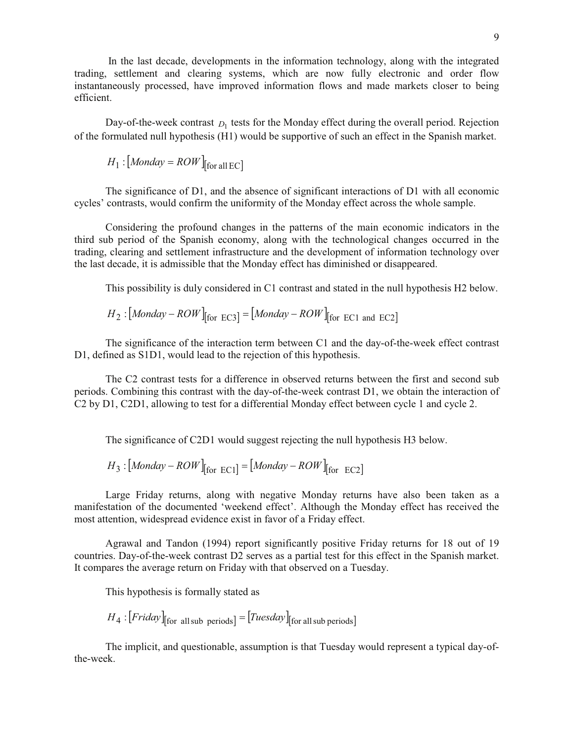In the last decade, developments in the information technology, along with the integrated trading, settlement and clearing systems, which are now fully electronic and order flow instantaneously processed, have improved information flows and made markets closer to being efficient.

Day-of-the-week contrast  $D_1$  tests for the Monday effect during the overall period. Rejection of the formulated null hypothesis (H1) would be supportive of such an effect in the Spanish market.

$$
H_1: [Monday = ROW]_{[for all EC]}
$$

The significance of D1, and the absence of significant interactions of D1 with all economic cycles' contrasts, would confirm the uniformity of the Monday effect across the whole sample.

Considering the profound changes in the patterns of the main economic indicators in the third sub period of the Spanish economy, along with the technological changes occurred in the trading, clearing and settlement infrastructure and the development of information technology over the last decade, it is admissible that the Monday effect has diminished or disappeared.

This possibility is duly considered in C1 contrast and stated in the null hypothesis H2 below.

$$
H_2: [Monday - ROW]_{[for EC3]} = [Monday - ROW]_{[for EC1 and EC2]}
$$

The significance of the interaction term between C1 and the day-of-the-week effect contrast D1, defined as S1D1, would lead to the rejection of this hypothesis.

The C2 contrast tests for a difference in observed returns between the first and second sub periods. Combining this contrast with the day-of-the-week contrast D1, we obtain the interaction of C2 by D1, C2D1, allowing to test for a differential Monday effect between cycle 1 and cycle 2.

The significance of C2D1 would suggest rejecting the null hypothesis H3 below.

$$
H_3: [Monday - ROW]_{[for EC1]} = [Monday - ROW]_{[for EC2]}
$$

Large Friday returns, along with negative Monday returns have also been taken as a manifestation of the documented 'weekend effect'. Although the Monday effect has received the most attention, widespread evidence exist in favor of a Friday effect.

Agrawal and Tandon (1994) report significantly positive Friday returns for 18 out of 19 countries. Day-of-the-week contrast D2 serves as a partial test for this effect in the Spanish market. It compares the average return on Friday with that observed on a Tuesday.

This hypothesis is formally stated as

 $H_4: [Friday]_{\text{for all sub periods}} = [Tuesday]_{\text{for all sub periods}}$ 

The implicit, and questionable, assumption is that Tuesday would represent a typical day-ofthe-week.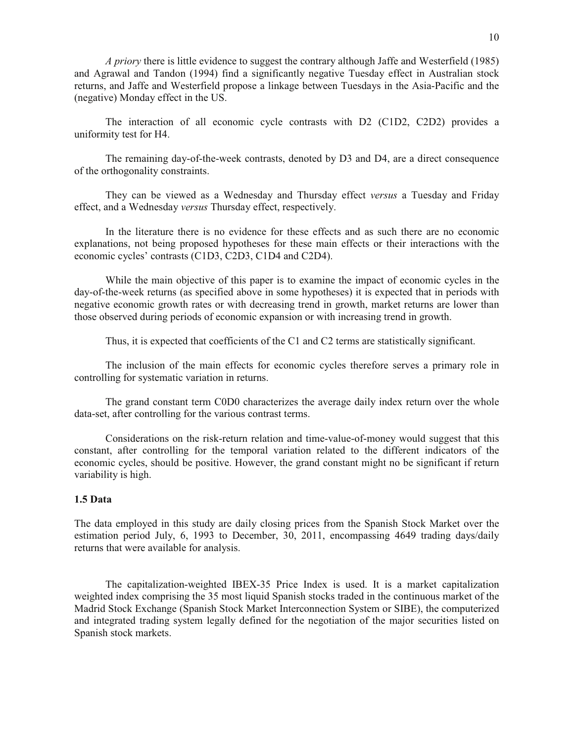*A priory* there is little evidence to suggest the contrary although Jaffe and Westerfield (1985) and Agrawal and Tandon (1994) find a significantly negative Tuesday effect in Australian stock returns, and Jaffe and Westerfield propose a linkage between Tuesdays in the Asia-Pacific and the (negative) Monday effect in the US.

The interaction of all economic cycle contrasts with D2 (C1D2, C2D2) provides a uniformity test for H4.

The remaining day-of-the-week contrasts, denoted by D3 and D4, are a direct consequence of the orthogonality constraints.

They can be viewed as a Wednesday and Thursday effect *versus* a Tuesday and Friday effect, and a Wednesday *versus* Thursday effect, respectively.

In the literature there is no evidence for these effects and as such there are no economic explanations, not being proposed hypotheses for these main effects or their interactions with the economic cycles' contrasts (C1D3, C2D3, C1D4 and C2D4).

While the main objective of this paper is to examine the impact of economic cycles in the day-of-the-week returns (as specified above in some hypotheses) it is expected that in periods with negative economic growth rates or with decreasing trend in growth, market returns are lower than those observed during periods of economic expansion or with increasing trend in growth.

Thus, it is expected that coefficients of the C1 and C2 terms are statistically significant.

The inclusion of the main effects for economic cycles therefore serves a primary role in controlling for systematic variation in returns.

The grand constant term C0D0 characterizes the average daily index return over the whole data-set, after controlling for the various contrast terms.

Considerations on the risk-return relation and time-value-of-money would suggest that this constant, after controlling for the temporal variation related to the different indicators of the economic cycles, should be positive. However, the grand constant might no be significant if return variability is high.

## **1.5 Data**

The data employed in this study are daily closing prices from the Spanish Stock Market over the estimation period July, 6, 1993 to December, 30, 2011, encompassing 4649 trading days/daily returns that were available for analysis.

The capitalization-weighted IBEX-35 Price Index is used. It is a market capitalization weighted index comprising the 35 most liquid Spanish stocks traded in the continuous market of the Madrid Stock Exchange (Spanish Stock Market Interconnection System or SIBE), the computerized and integrated trading system legally defined for the negotiation of the major securities listed on Spanish stock markets.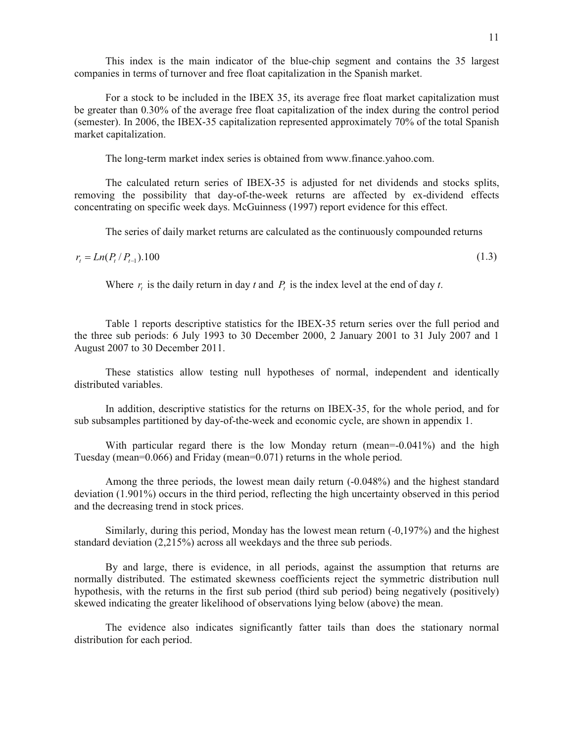This index is the main indicator of the blue-chip segment and contains the 35 largest companies in terms of turnover and free float capitalization in the Spanish market.

For a stock to be included in the IBEX 35, its average free float market capitalization must be greater than 0.30% of the average free float capitalization of the index during the control period (semester). In 2006, the IBEX-35 capitalization represented approximately 70% of the total Spanish market capitalization.

The long-term market index series is obtained from www.finance.yahoo.com.

The calculated return series of IBEX-35 is adjusted for net dividends and stocks splits, removing the possibility that day-of-the-week returns are affected by ex-dividend effects concentrating on specific week days. McGuinness (1997) report evidence for this effect.

The series of daily market returns are calculated as the continuously compounded returns

 $r_{t} = Ln(P_{t} / P_{t-1})$  $0.100$  (1.3)

Where  $r<sub>t</sub>$  is the daily return in day  $t$  and  $P<sub>t</sub>$  is the index level at the end of day  $t$ .

Table 1 reports descriptive statistics for the IBEX-35 return series over the full period and the three sub periods: 6 July 1993 to 30 December 2000, 2 January 2001 to 31 July 2007 and 1 August 2007 to 30 December 2011.

These statistics allow testing null hypotheses of normal, independent and identically distributed variables.

In addition, descriptive statistics for the returns on IBEX-35, for the whole period, and for sub subsamples partitioned by day-of-the-week and economic cycle, are shown in appendix 1.

With particular regard there is the low Monday return (mean=-0.041%) and the high Tuesday (mean=0.066) and Friday (mean=0.071) returns in the whole period.

Among the three periods, the lowest mean daily return  $(-0.048%)$  and the highest standard deviation (1.901%) occurs in the third period, reflecting the high uncertainty observed in this period and the decreasing trend in stock prices.

Similarly, during this period, Monday has the lowest mean return (-0,197%) and the highest standard deviation (2,215%) across all weekdays and the three sub periods.

By and large, there is evidence, in all periods, against the assumption that returns are normally distributed. The estimated skewness coefficients reject the symmetric distribution null hypothesis, with the returns in the first sub period (third sub period) being negatively (positively) skewed indicating the greater likelihood of observations lying below (above) the mean.

The evidence also indicates significantly fatter tails than does the stationary normal distribution for each period.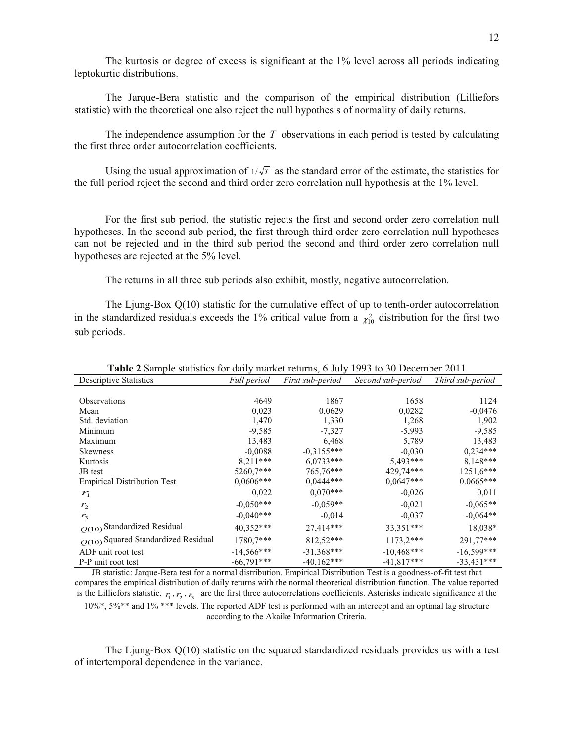The kurtosis or degree of excess is significant at the 1% level across all periods indicating leptokurtic distributions.

The Jarque-Bera statistic and the comparison of the empirical distribution (Lilliefors statistic) with the theoretical one also reject the null hypothesis of normality of daily returns.

The independence assumption for the *T* observations in each period is tested by calculating the first three order autocorrelation coefficients.

Using the usual approximation of  $1/\sqrt{T}$  as the standard error of the estimate, the statistics for the full period reject the second and third order zero correlation null hypothesis at the 1% level.

For the first sub period, the statistic rejects the first and second order zero correlation null hypotheses. In the second sub period, the first through third order zero correlation null hypotheses can not be rejected and in the third sub period the second and third order zero correlation null hypotheses are rejected at the 5% level.

The returns in all three sub periods also exhibit, mostly, negative autocorrelation.

The Ljung-Box Q(10) statistic for the cumulative effect of up to tenth-order autocorrelation in the standardized residuals exceeds the 1% critical value from a  $\chi^2_{10}$  distribution for the first two sub periods.

| <b>Descriptive Statistics</b>         | Full period  | First sub-period | Second sub-period | Third sub-period |
|---------------------------------------|--------------|------------------|-------------------|------------------|
|                                       |              |                  |                   |                  |
| <b>Observations</b>                   | 4649         | 1867             | 1658              | 1124             |
| Mean                                  | 0,023        | 0,0629           | 0,0282            | $-0,0476$        |
| Std. deviation                        | 1,470        | 1,330            | 1,268             | 1,902            |
| Minimum                               | $-9,585$     | $-7,327$         | $-5,993$          | $-9,585$         |
| Maximum                               | 13,483       | 6,468            | 5,789             | 13,483           |
| <b>Skewness</b>                       | $-0,0088$    | $-0,3155***$     | $-0.030$          | $0,234***$       |
| Kurtosis                              | $8,211***$   | $6,0733***$      | 5,493***          | $8,148***$       |
| JB test                               | 5260,7***    | 765,76***        | 429,74***         | $1251,6***$      |
| <b>Empirical Distribution Test</b>    | $0,0606***$  | $0,0444***$      | $0,0647***$       | $0.0665***$      |
| $r_{1}$                               | 0,022        | $0.070***$       | $-0,026$          | 0,011            |
| r <sub>2</sub>                        | $-0,050***$  | $-0,059**$       | $-0.021$          | $-0.065**$       |
| $r_{3}$                               | $-0.040***$  | $-0.014$         | $-0.037$          | $-0,064**$       |
| $Q(10)$ Standardized Residual         | 40,352***    | 27,414***        | 33,351***         | 18,038*          |
| $Q(10)$ Squared Standardized Residual | 1780.7***    | 812,52***        | $1173,2***$       | 291,77***        |
| ADF unit root test                    | $-14,566***$ | $-31.368***$     | $-10,468***$      | $-16,599***$     |
| P-P unit root test                    | $-66,791***$ | $-40,162***$     | $-41,817***$      | $-33,431***$     |

**Table 2** Sample statistics for daily market returns, 6 July 1993 to 30 December 2011

JB statistic: Jarque-Bera test for a normal distribution. Empirical Distribution Test is a goodness-of-fit test that compares the empirical distribution of daily returns with the normal theoretical distribution function. The value reported is the Lilliefors statistic.  $r_1, r_2, r_3$  are the first three autocorrelations coefficients. Asterisks indicate significance at the

10%\*, 5%\*\* and 1% \*\*\* levels. The reported ADF test is performed with an intercept and an optimal lag structure according to the Akaike Information Criteria.

The Ljung-Box Q(10) statistic on the squared standardized residuals provides us with a test of intertemporal dependence in the variance.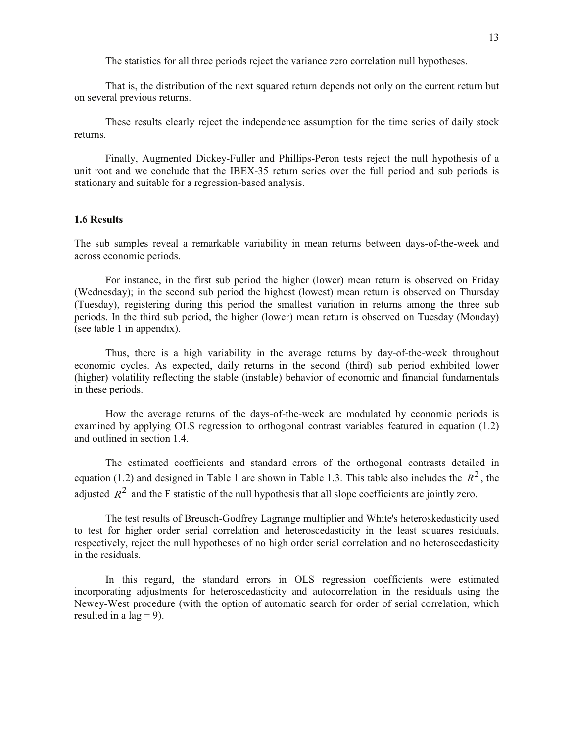The statistics for all three periods reject the variance zero correlation null hypotheses.

That is, the distribution of the next squared return depends not only on the current return but on several previous returns.

These results clearly reject the independence assumption for the time series of daily stock returns.

Finally, Augmented Dickey-Fuller and Phillips-Peron tests reject the null hypothesis of a unit root and we conclude that the IBEX-35 return series over the full period and sub periods is stationary and suitable for a regression-based analysis.

## **1.6 Results**

The sub samples reveal a remarkable variability in mean returns between days-of-the-week and across economic periods.

For instance, in the first sub period the higher (lower) mean return is observed on Friday (Wednesday); in the second sub period the highest (lowest) mean return is observed on Thursday (Tuesday), registering during this period the smallest variation in returns among the three sub periods. In the third sub period, the higher (lower) mean return is observed on Tuesday (Monday) (see table 1 in appendix).

Thus, there is a high variability in the average returns by day-of-the-week throughout economic cycles. As expected, daily returns in the second (third) sub period exhibited lower (higher) volatility reflecting the stable (instable) behavior of economic and financial fundamentals in these periods.

How the average returns of the days-of-the-week are modulated by economic periods is examined by applying OLS regression to orthogonal contrast variables featured in equation (1.2) and outlined in section 1.4.

The estimated coefficients and standard errors of the orthogonal contrasts detailed in equation (1.2) and designed in Table 1 are shown in Table 1.3. This table also includes the  $R^2$ , the adjusted  $R^2$  and the F statistic of the null hypothesis that all slope coefficients are jointly zero.

The test results of Breusch-Godfrey Lagrange multiplier and White's heteroskedasticity used to test for higher order serial correlation and heteroscedasticity in the least squares residuals, respectively, reject the null hypotheses of no high order serial correlation and no heteroscedasticity in the residuals.

In this regard, the standard errors in OLS regression coefficients were estimated incorporating adjustments for heteroscedasticity and autocorrelation in the residuals using the Newey-West procedure (with the option of automatic search for order of serial correlation, which resulted in a lag  $= 9$ ).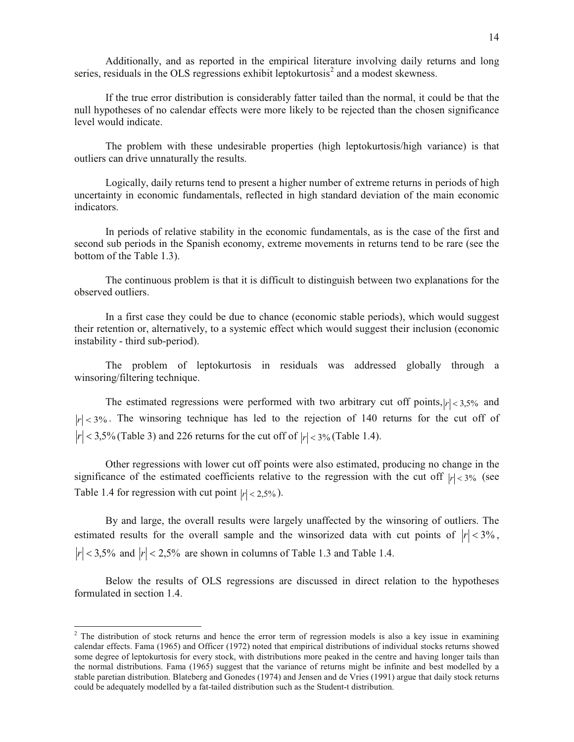Additionally, and as reported in the empirical literature involving daily returns and long series, residuals in the OLS regressions exhibit leptokurtosis $2$  and a modest skewness.

If the true error distribution is considerably fatter tailed than the normal, it could be that the null hypotheses of no calendar effects were more likely to be rejected than the chosen significance level would indicate.

The problem with these undesirable properties (high leptokurtosis/high variance) is that outliers can drive unnaturally the results.

Logically, daily returns tend to present a higher number of extreme returns in periods of high uncertainty in economic fundamentals, reflected in high standard deviation of the main economic indicators.

In periods of relative stability in the economic fundamentals, as is the case of the first and second sub periods in the Spanish economy, extreme movements in returns tend to be rare (see the bottom of the Table 1.3).

The continuous problem is that it is difficult to distinguish between two explanations for the observed outliers.

In a first case they could be due to chance (economic stable periods), which would suggest their retention or, alternatively, to a systemic effect which would suggest their inclusion (economic instability - third sub-period).

The problem of leptokurtosis in residuals was addressed globally through a winsoring/filtering technique.

The estimated regressions were performed with two arbitrary cut off points,  $|r| < 3.5\%$  and  $|r| < 3\%$ . The winsoring technique has led to the rejection of 140 returns for the cut off of  $|r| < 3,5\%$  (Table 3) and 226 returns for the cut off of  $|r| < 3\%$  (Table 1.4).

Other regressions with lower cut off points were also estimated, producing no change in the significance of the estimated coefficients relative to the regression with the cut off  $|r| < 3\%$  (see Table 1.4 for regression with cut point  $|r| < 2,5\%$ ).

By and large, the overall results were largely unaffected by the winsoring of outliers. The estimated results for the overall sample and the winsorized data with cut points of  $|r| < 3\%$ ,  $|r|$  < 3,5% and  $|r|$  < 2,5% are shown in columns of Table 1.3 and Table 1.4.

Below the results of OLS regressions are discussed in direct relation to the hypotheses formulated in section 1.4.

l

 $2$  The distribution of stock returns and hence the error term of regression models is also a key issue in examining calendar effects. Fama (1965) and Officer (1972) noted that empirical distributions of individual stocks returns showed some degree of leptokurtosis for every stock, with distributions more peaked in the centre and having longer tails than the normal distributions. Fama (1965) suggest that the variance of returns might be infinite and best modelled by a stable paretian distribution. Blateberg and Gonedes (1974) and Jensen and de Vries (1991) argue that daily stock returns could be adequately modelled by a fat-tailed distribution such as the Student-t distribution.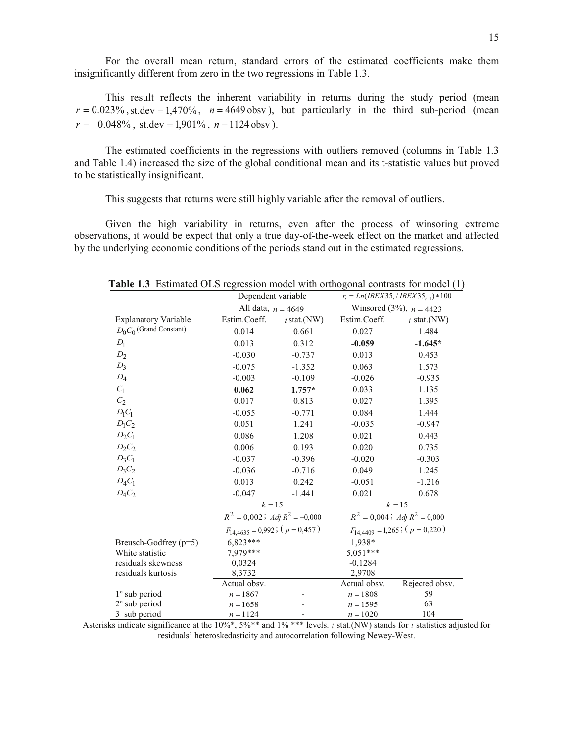For the overall mean return, standard errors of the estimated coefficients make them insignificantly different from zero in the two regressions in Table 1.3.

This result reflects the inherent variability in returns during the study period (mean  $r = 0.023\%$ , st.dev = 1,470%,  $n = 4649$  obsv), but particularly in the third sub-period (mean  $r = -0.048\%$ , st.dev = 1,901%,  $n = 1124$  obsv).

The estimated coefficients in the regressions with outliers removed (columns in Table 1.3 and Table 1.4) increased the size of the global conditional mean and its t-statistic values but proved to be statistically insignificant.

This suggests that returns were still highly variable after the removal of outliers.

Given the high variability in returns, even after the process of winsoring extreme observations, it would be expect that only a true day-of-the-week effect on the market and affected by the underlying economic conditions of the periods stand out in the estimated regressions.

|                             | Dependent variable                      |                      | $r_{i} = Ln(IBEX35_{i}/IBEX35_{i-1}) * 100$ |                           |  |  |
|-----------------------------|-----------------------------------------|----------------------|---------------------------------------------|---------------------------|--|--|
|                             |                                         | All data, $n = 4649$ |                                             | Winsored (3%), $n = 4423$ |  |  |
| <b>Explanatory Variable</b> | Estim.Coeff.                            | $t$ stat.(NW)        | Estim.Coeff.                                | $t$ stat.(NW)             |  |  |
| $D_0C_0$ (Grand Constant)   | 0.014                                   | 0.661                | 0.027                                       | 1.484                     |  |  |
| $D_1$                       | 0.013                                   | 0.312                | $-0.059$                                    | $-1.645*$                 |  |  |
| $D_2$                       | $-0.030$                                | $-0.737$             | 0.013                                       | 0.453                     |  |  |
| $D_3$                       | $-0.075$                                | $-1.352$             | 0.063                                       | 1.573                     |  |  |
| $D_4$                       | $-0.003$                                | $-0.109$             | $-0.026$                                    | $-0.935$                  |  |  |
| $C_1$                       | 0.062                                   | $1.757*$             | 0.033                                       | 1.135                     |  |  |
| $\mathcal{C}_2$             | 0.017                                   | 0.813                | 0.027                                       | 1.395                     |  |  |
| $D_1C_1$                    | $-0.055$                                | $-0.771$             | 0.084                                       | 1.444                     |  |  |
| $D_1C_2$                    | 0.051                                   | 1.241                | $-0.035$                                    | $-0.947$                  |  |  |
| $D_2C_1$                    | 0.086                                   | 1.208                | 0.021                                       | 0.443                     |  |  |
| $D_2C_2$                    | 0.006                                   | 0.193                | 0.020                                       | 0.735                     |  |  |
| $D_3C_1$                    | $-0.037$                                | $-0.396$             | $-0.020$                                    | $-0.303$                  |  |  |
| $D_3C_2$                    | $-0.036$                                | $-0.716$             | 0.049<br>1.245                              |                           |  |  |
| $D_4C_1$                    | 0.013                                   | 0.242                | $-0.051$                                    | $-1.216$                  |  |  |
| $D_4C_2$                    | $-0.047$                                | $-1.441$             | 0.021                                       | 0.678                     |  |  |
|                             | $k = 15$                                |                      | $k = 15$                                    |                           |  |  |
|                             | $R^2 = 0,002$ ; Adj $R^2 = -0,000$      |                      | $R^2 = 0,004$ ; Adj $R^2 = 0,000$           |                           |  |  |
|                             | $F_{14,4635} = 0.992$ ; ( $p = 0.457$ ) |                      | $F_{14,4409} = 1,265$ ; $(p = 0,220)$       |                           |  |  |
| Breusch-Godfrey $(p=5)$     | $6,823***$                              |                      | 1,938*                                      |                           |  |  |
| White statistic             | 7,979***                                |                      | $5,051***$                                  |                           |  |  |
| residuals skewness          | 0,0324<br>$-0,1284$                     |                      |                                             |                           |  |  |
| residuals kurtosis          | 8,3732                                  |                      | 2,9708                                      |                           |  |  |
|                             | Actual obsv.                            |                      | Actual obsv.                                | Rejected obsv.            |  |  |
| $1^\circ$ sub period        | $n = 1867$                              |                      | $n = 1808$                                  | 59                        |  |  |
| $2^{\circ}$ sub period      | $n = 1658$                              |                      | $n = 1595$                                  | 63                        |  |  |
| 3 sub period                | $n = 1124$                              |                      | $n = 1020$                                  | 104                       |  |  |

**Table 1.3** Estimated OLS regression model with orthogonal contrasts for model (1)

Asterisks indicate significance at the 10%\*, 5%\*\* and 1% \*\*\* levels. *<sup>t</sup>* stat.(NW) stands for *<sup>t</sup>* statistics adjusted for residuals' heteroskedasticity and autocorrelation following Newey-West.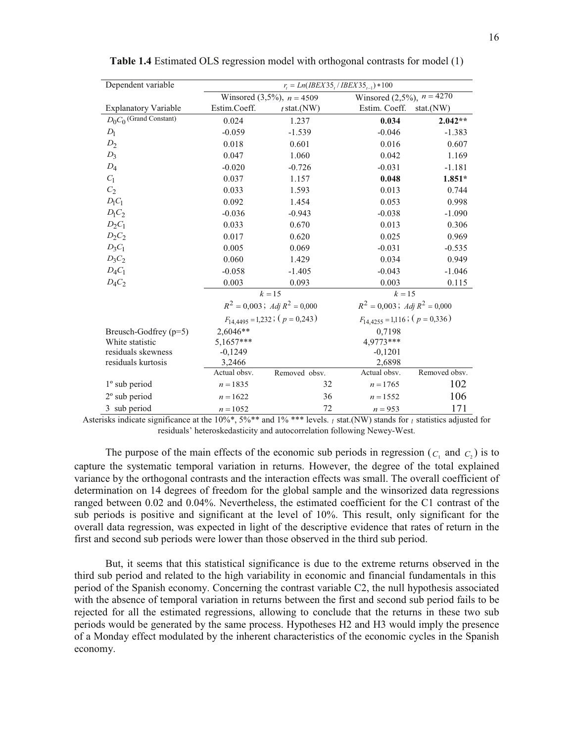| Dependent variable          | $r_i = Ln(IBEX35, IBEX35_{i-1}) * 100$ |                                         |                                         |               |  |
|-----------------------------|----------------------------------------|-----------------------------------------|-----------------------------------------|---------------|--|
|                             | Winsored $(3,5\%)$ , $n = 4509$        |                                         | Winsored (2,5%), $n = 42\overline{70}$  |               |  |
| <b>Explanatory Variable</b> | Estim.Coeff.                           | $t$ stat.(NW)                           | Estim. Coeff.                           | stat.(NW)     |  |
| $D_0C_0$ (Grand Constant)   | 0.024                                  | 1.237                                   | 0.034                                   | $2.042**$     |  |
| $D_1$                       | $-0.059$                               | $-1.539$                                | $-0.046$                                | $-1.383$      |  |
| $D_2$                       | 0.018                                  | 0.601                                   | 0.016                                   | 0.607         |  |
| $D_3$                       | 0.047                                  | 1.060                                   | 0.042                                   | 1.169         |  |
| $D_4$                       | $-0.020$                               | $-0.726$                                | $-0.031$                                | $-1.181$      |  |
| $C_1$                       | 0.037                                  | 1.157                                   | 0.048                                   | $1.851*$      |  |
| $C_2$                       | 0.033                                  | 1.593                                   | 0.013                                   | 0.744         |  |
| $D_1C_1$                    | 0.092                                  | 1.454                                   | 0.053                                   | 0.998         |  |
| $D_1C_2$                    | $-0.036$                               | $-0.943$                                | $-0.038$                                | $-1.090$      |  |
| $D_2C_1$                    | 0.033                                  | 0.670                                   | 0.013                                   | 0.306         |  |
| $D_2C_2$                    | 0.017                                  | 0.620                                   | 0.025                                   | 0.969         |  |
| $D_3C_1$                    | 0.005                                  | 0.069                                   | $-0.031$                                | $-0.535$      |  |
| $D_3C_2$                    | 0.060                                  | 1.429                                   | 0.034                                   | 0.949         |  |
| $D_4C_1$                    | $-0.058$                               | $-1.405$                                | $-0.043$                                | $-1.046$      |  |
| $D_4C_2$                    | 0.003                                  | 0.093                                   | 0.003                                   | 0.115         |  |
|                             |                                        | $k = 15$                                | $k = 15$                                |               |  |
|                             |                                        | $R^2 = 0,003$ ; Adj $R^2 = 0,000$       | $R^2 = 0.003$ ; Adj $R^2 = 0.000$       |               |  |
|                             |                                        | $F_{14,4495} = 1,232$ ; ( $p = 0,243$ ) | $F_{14,4255} = 1,116$ ; ( $p = 0,336$ ) |               |  |
| Breusch-Godfrey $(p=5)$     | 2,6046**                               |                                         | 0,7198                                  |               |  |
| White statistic             | 5,1657***                              |                                         | 4,9773***                               |               |  |
| residuals skewness          | $-0,1249$                              |                                         | $-0,1201$                               |               |  |
| residuals kurtosis          | 3,2466                                 |                                         | 2,6898                                  |               |  |
|                             | Actual obsv.                           | Removed obsv.                           | Actual obsv.                            | Removed obsv. |  |
| 1° sub period               | $n = 1835$                             | 32                                      | $n = 1765$                              | 102           |  |
| $2^{\circ}$ sub period      | $n = 1622$                             | 36                                      | $n = 1552$                              | 106           |  |
| 3 sub period                | $n = 1052$                             | 72                                      | $n = 953$                               | 171           |  |

**Table 1.4** Estimated OLS regression model with orthogonal contrasts for model (1)

Asterisks indicate significance at the 10%\*, 5%\*\* and 1% \*\*\* levels. *<sup>t</sup>* stat.(NW) stands for *<sup>t</sup>* statistics adjusted for residuals' heteroskedasticity and autocorrelation following Newey-West.

The purpose of the main effects of the economic sub periods in regression  $(c_1$  and  $c_2$ ) is to capture the systematic temporal variation in returns. However, the degree of the total explained variance by the orthogonal contrasts and the interaction effects was small. The overall coefficient of determination on 14 degrees of freedom for the global sample and the winsorized data regressions ranged between 0.02 and 0.04%. Nevertheless, the estimated coefficient for the C1 contrast of the sub periods is positive and significant at the level of 10%. This result, only significant for the overall data regression, was expected in light of the descriptive evidence that rates of return in the first and second sub periods were lower than those observed in the third sub period.

But, it seems that this statistical significance is due to the extreme returns observed in the third sub period and related to the high variability in economic and financial fundamentals in this period of the Spanish economy. Concerning the contrast variable C2, the null hypothesis associated with the absence of temporal variation in returns between the first and second sub period fails to be rejected for all the estimated regressions, allowing to conclude that the returns in these two sub periods would be generated by the same process. Hypotheses H2 and H3 would imply the presence of a Monday effect modulated by the inherent characteristics of the economic cycles in the Spanish economy.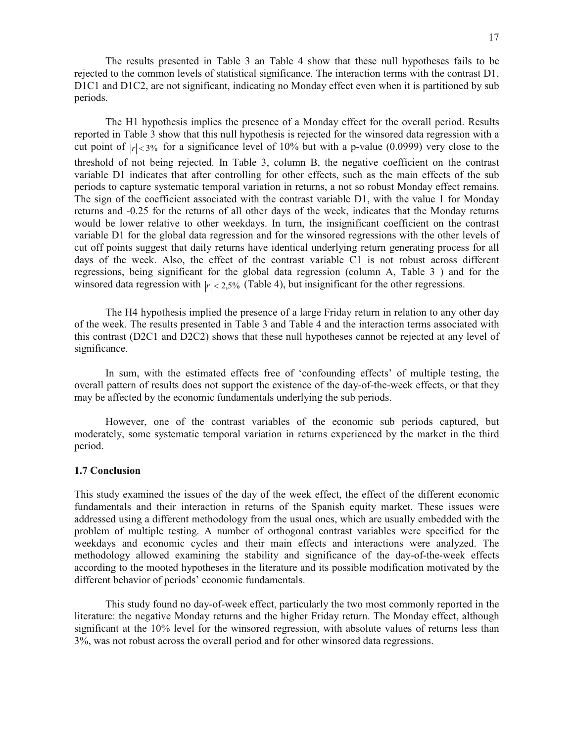The results presented in Table 3 an Table 4 show that these null hypotheses fails to be rejected to the common levels of statistical significance. The interaction terms with the contrast D1, D1C1 and D1C2, are not significant, indicating no Monday effect even when it is partitioned by sub periods.

The H1 hypothesis implies the presence of a Monday effect for the overall period. Results reported in Table 3 show that this null hypothesis is rejected for the winsored data regression with a cut point of  $|r| < 3\%$  for a significance level of 10% but with a p-value (0.0999) very close to the threshold of not being rejected. In Table 3, column B, the negative coefficient on the contrast variable D1 indicates that after controlling for other effects, such as the main effects of the sub periods to capture systematic temporal variation in returns, a not so robust Monday effect remains. The sign of the coefficient associated with the contrast variable D1, with the value 1 for Monday returns and -0.25 for the returns of all other days of the week, indicates that the Monday returns would be lower relative to other weekdays. In turn, the insignificant coefficient on the contrast variable D1 for the global data regression and for the winsored regressions with the other levels of cut off points suggest that daily returns have identical underlying return generating process for all days of the week. Also, the effect of the contrast variable C1 is not robust across different regressions, being significant for the global data regression (column A, Table 3 ) and for the winsored data regression with  $|r| < 2.5\%$  (Table 4), but insignificant for the other regressions.

The H4 hypothesis implied the presence of a large Friday return in relation to any other day of the week. The results presented in Table 3 and Table 4 and the interaction terms associated with this contrast (D2C1 and D2C2) shows that these null hypotheses cannot be rejected at any level of significance.

In sum, with the estimated effects free of 'confounding effects' of multiple testing, the overall pattern of results does not support the existence of the day-of-the-week effects, or that they may be affected by the economic fundamentals underlying the sub periods.

However, one of the contrast variables of the economic sub periods captured, but moderately, some systematic temporal variation in returns experienced by the market in the third period.

# **1.7 Conclusion**

This study examined the issues of the day of the week effect, the effect of the different economic fundamentals and their interaction in returns of the Spanish equity market. These issues were addressed using a different methodology from the usual ones, which are usually embedded with the problem of multiple testing. A number of orthogonal contrast variables were specified for the weekdays and economic cycles and their main effects and interactions were analyzed. The methodology allowed examining the stability and significance of the day-of-the-week effects according to the mooted hypotheses in the literature and its possible modification motivated by the different behavior of periods' economic fundamentals.

This study found no day-of-week effect, particularly the two most commonly reported in the literature: the negative Monday returns and the higher Friday return. The Monday effect, although significant at the 10% level for the winsored regression, with absolute values of returns less than 3%, was not robust across the overall period and for other winsored data regressions.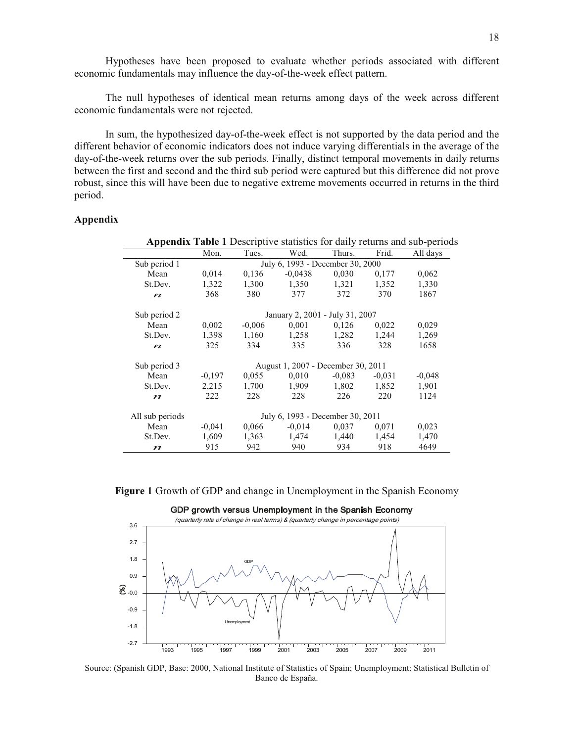Hypotheses have been proposed to evaluate whether periods associated with different economic fundamentals may influence the day-of-the-week effect pattern.

The null hypotheses of identical mean returns among days of the week across different economic fundamentals were not rejected.

In sum, the hypothesized day-of-the-week effect is not supported by the data period and the different behavior of economic indicators does not induce varying differentials in the average of the day-of-the-week returns over the sub periods. Finally, distinct temporal movements in daily returns between the first and second and the third sub period were captured but this difference did not prove robust, since this will have been due to negative extreme movements occurred in returns in the third period.

# **Appendix**

|                  |                                    |                                  |           |          |          | <b>Appendix Table 1</b> Descriptive statistics for daily returns and sub-periods |
|------------------|------------------------------------|----------------------------------|-----------|----------|----------|----------------------------------------------------------------------------------|
|                  | Mon.                               | Tues.                            | Wed.      | Thurs.   | Frid.    | All days                                                                         |
| Sub period 1     |                                    | July 6, 1993 - December 30, 2000 |           |          |          |                                                                                  |
| Mean             | 0,014                              | 0,136                            | $-0,0438$ | 0,030    | 0,177    | 0,062                                                                            |
| St.Dev.          | 1,322                              | 1,300                            | 1,350     | 1,321    | 1,352    | 1,330                                                                            |
| $\boldsymbol{n}$ | 368                                | 380                              | 377       | 372      | 370      | 1867                                                                             |
| Sub period 2     | January 2, 2001 - July 31, 2007    |                                  |           |          |          |                                                                                  |
| Mean             | 0,002                              | $-0.006$                         | 0,001     | 0,126    | 0,022    | 0,029                                                                            |
| St.Dev.          | 1,398                              | 1,160                            | 1,258     | 1,282    | 1,244    | 1,269                                                                            |
| $\boldsymbol{n}$ | 325                                | 334                              | 335       | 336      | 328      | 1658                                                                             |
| Sub period 3     | August 1, 2007 - December 30, 2011 |                                  |           |          |          |                                                                                  |
| Mean             | $-0,197$                           | 0,055                            | 0,010     | $-0.083$ | $-0.031$ | $-0,048$                                                                         |
| St.Dev.          | 2,215                              | 1,700                            | 1,909     | 1,802    | 1,852    | 1,901                                                                            |
| $\boldsymbol{n}$ | 222                                | 228                              | 228       | 226      | 220      | 1124                                                                             |
| All sub periods  | July 6, 1993 - December 30, 2011   |                                  |           |          |          |                                                                                  |
| Mean             | $-0,041$                           | 0,066                            | $-0.014$  | 0,037    | 0,071    | 0,023                                                                            |
| St.Dev.          | 1,609                              | 1,363                            | 1,474     | 1,440    | 1,454    | 1,470                                                                            |
| $\boldsymbol{n}$ | 915                                | 942                              | 940       | 934      | 918      | 4649                                                                             |

**Figure 1** Growth of GDP and change in Unemployment in the Spanish Economy



Source: (Spanish GDP, Base: 2000, National Institute of Statistics of Spain; Unemployment: Statistical Bulletin of Banco de España.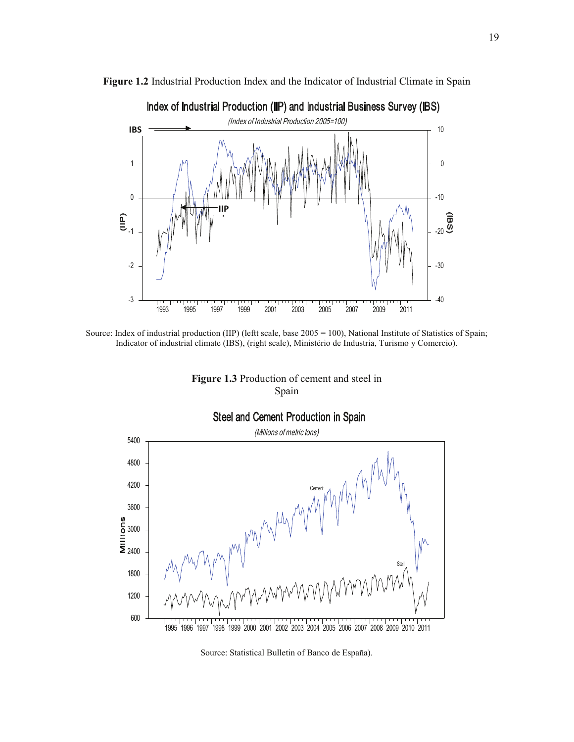

**Figure 1.2** Industrial Production Index and the Indicator of Industrial Climate in Spain

Source: Index of industrial production (IIP) (leftt scale, base 2005 = 100), National Institute of Statistics of Spain; Indicator of industrial climate (IBS), (right scale), Ministério de Industria, Turismo y Comercio).





Source: Statistical Bulletin of Banco de España).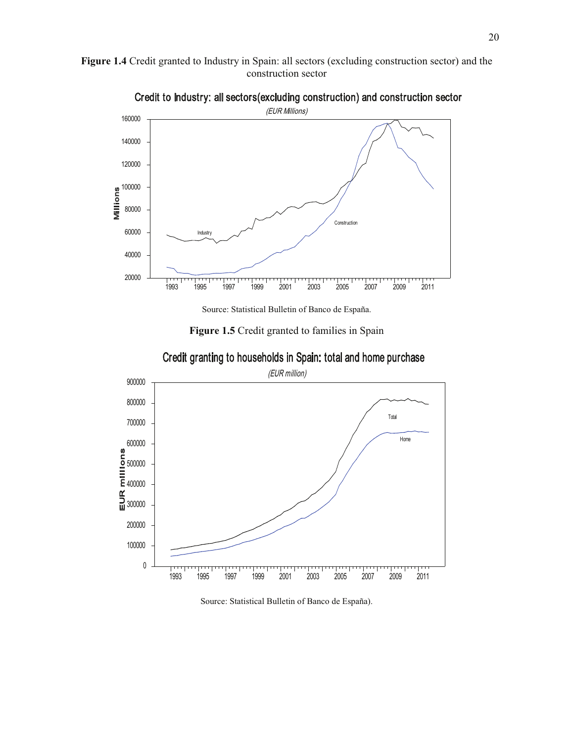



Credit to Industry: all sectors(excluding construction) and construction sector

Source: Statistical Bulletin of Banco de España.

**Figure 1.5** Credit granted to families in Spain



Credit granting to households in Spain: total and home purchase

Source: Statistical Bulletin of Banco de España).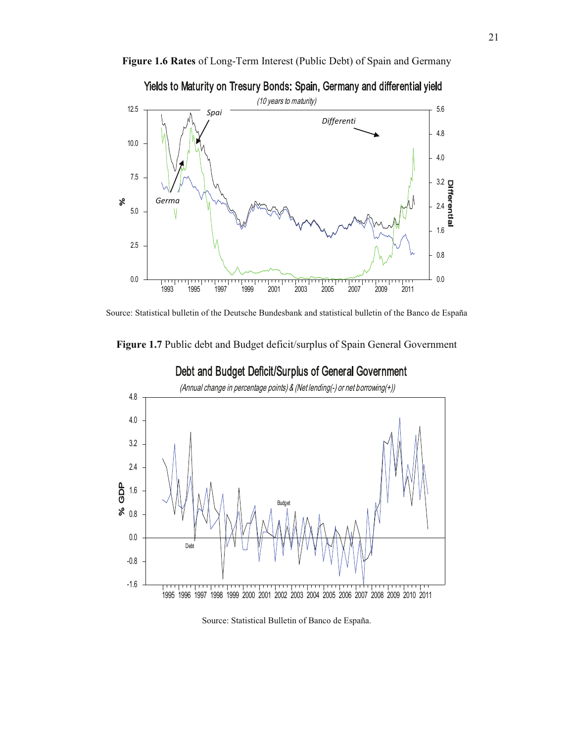

**Figure 1.6 Rates** of Long-Term Interest (Public Debt) of Spain and Germany



Source: Statistical bulletin of the Deutsche Bundesbank and statistical bulletin of the Banco de España

**Figure 1.7** Public debt and Budget deficit/surplus of Spain General Government



Debt and Budget Deficit/Surplus of General Government

Source: Statistical Bulletin of Banco de España.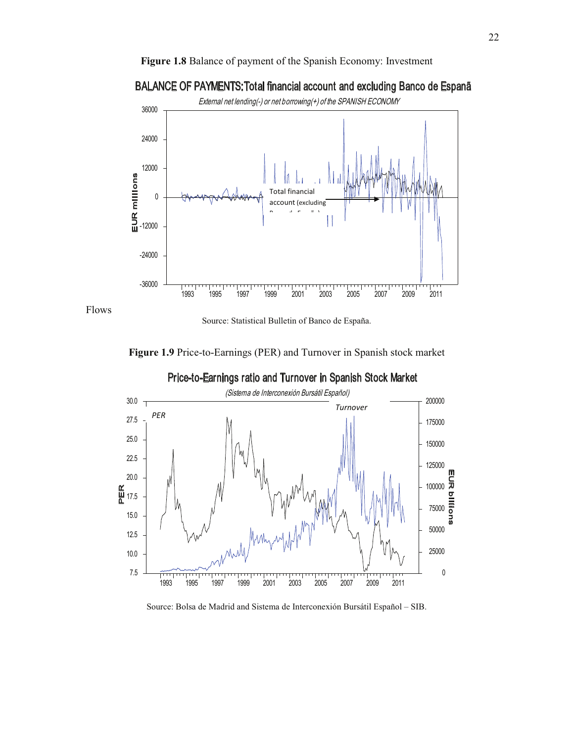



# BALANCE OF PAYMENTS:Total financial account and excluding Banco de Espanã

**Figure 1.9** Price-to-Earnings (PER) and Turnover in Spanish stock market

Flows



Source: Bolsa de Madrid and Sistema de Interconexión Bursátil Español – SIB.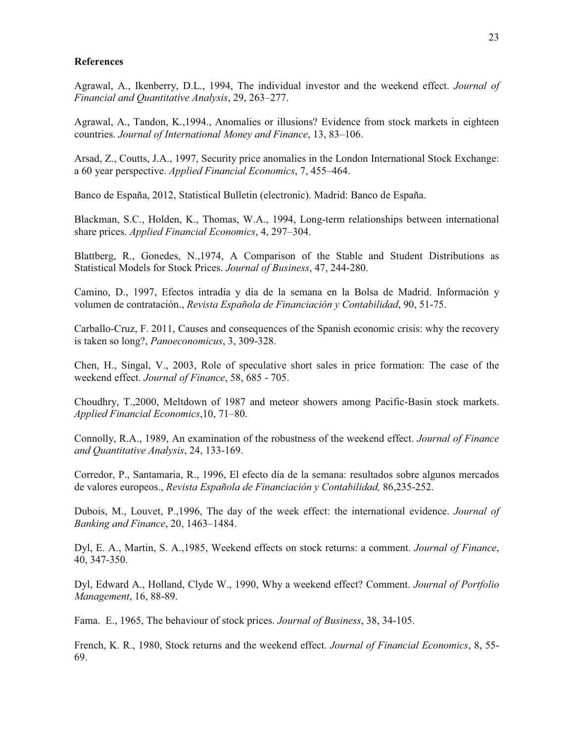## **References**

Agrawal, A., Ikenberry, D.L., 1994, The individual investor and the weekend effect. *Journal of Financial and Quantitative Analysis*, 29, 263–277.

Agrawal, A., Tandon, K.,1994., Anomalies or illusions? Evidence from stock markets in eighteen countries. *Journal of International Money and Finance*, 13, 83–106.

Arsad, Z., Coutts, J.A., 1997, Security price anomalies in the London International Stock Exchange: a 60 year perspective. *Applied Financial Economics*, 7, 455–464.

Banco de España, 2012, Statistical Bulletin (electronic). Madrid: Banco de España.

Blackman, S.C., Holden, K., Thomas, W.A., 1994, Long-term relationships between international share prices. *Applied Financial Economics*, 4, 297–304.

Blattberg, R., Gonedes, N.,1974, A Comparison of the Stable and Student Distributions as Statistical Models for Stock Prices. *Journal of Business*, 47, 244-280.

Camino, D., 1997, Efectos intradía y día de la semana en la Bolsa de Madrid. Información y volumen de contratación., *Revista Española de Financiación y Contabilidad*, 90, 51-75.

Carballo-Cruz, F. 2011, Causes and consequences of the Spanish economic crisis: why the recovery is taken so long?, *Panoeconomicus*, 3, 309-328.

Chen, H., Singal, V., 2003, Role of speculative short sales in price formation: The case of the weekend effect. *Journal of Finance*, 58, 685 - 705.

Choudhry, T.,2000, Meltdown of 1987 and meteor showers among Pacific-Basin stock markets. *Applied Financial Economics*,10, 71–80.

Connolly, R.A., 1989, An examination of the robustness of the weekend effect. *Journal of Finance and Quantitative Analysis*, 24, 133-169.

Corredor, P., Santamaria, R., 1996, El efecto día de la semana: resultados sobre algunos mercados de valores europeos., *Revista Española de Financiación y Contabilidad,* 86,235-252.

Dubois, M., Louvet, P.,1996, The day of the week effect: the international evidence. *Journal of Banking and Finance*, 20, 1463–1484.

Dyl, E. A., Martin, S. A.,1985, Weekend effects on stock returns: a comment. *Journal of Finance*, 40, 347-350.

Dyl, Edward A., Holland, Clyde W., 1990, Why a weekend effect? Comment. *Journal of Portfolio Management*, 16, 88-89.

Fama. E., 1965, The behaviour of stock prices. *Journal of Business*, 38, 34-105.

French, K. R., 1980, Stock returns and the weekend effect. *Journal of Financial Economics*, 8, 55- 69.